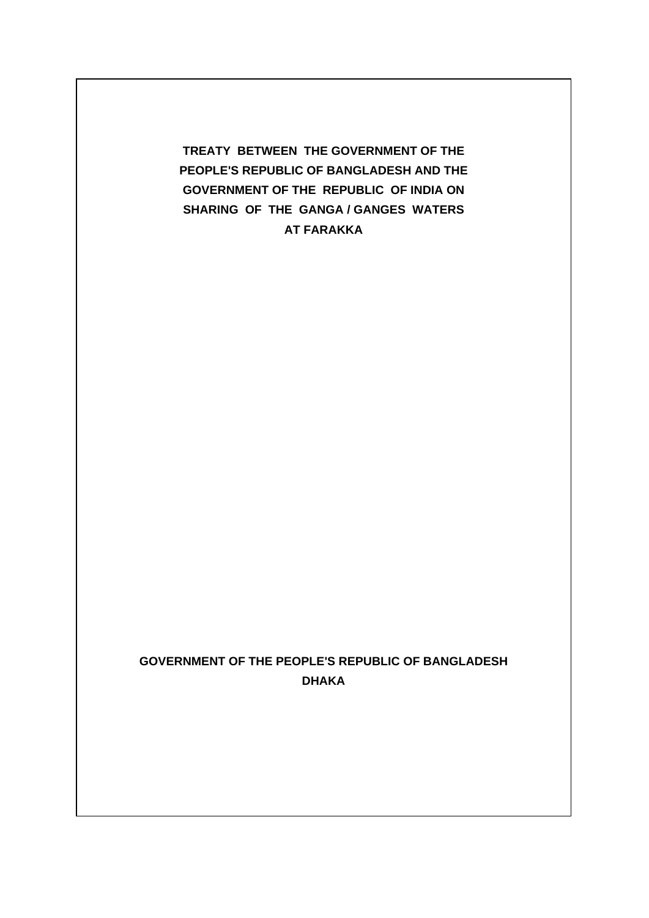**TREATY BETWEEN THE GOVERNMENT OF THE PEOPLE'S REPUBLIC OF BANGLADESH AND THE GOVERNMENT OF THE REPUBLIC OF INDIA ON SHARING OF THE GANGA / GANGES WATERS AT FARAKKA** 

# **GOVERNMENT OF THE PEOPLE'S REPUBLIC OF BANGLADESH DHAKA**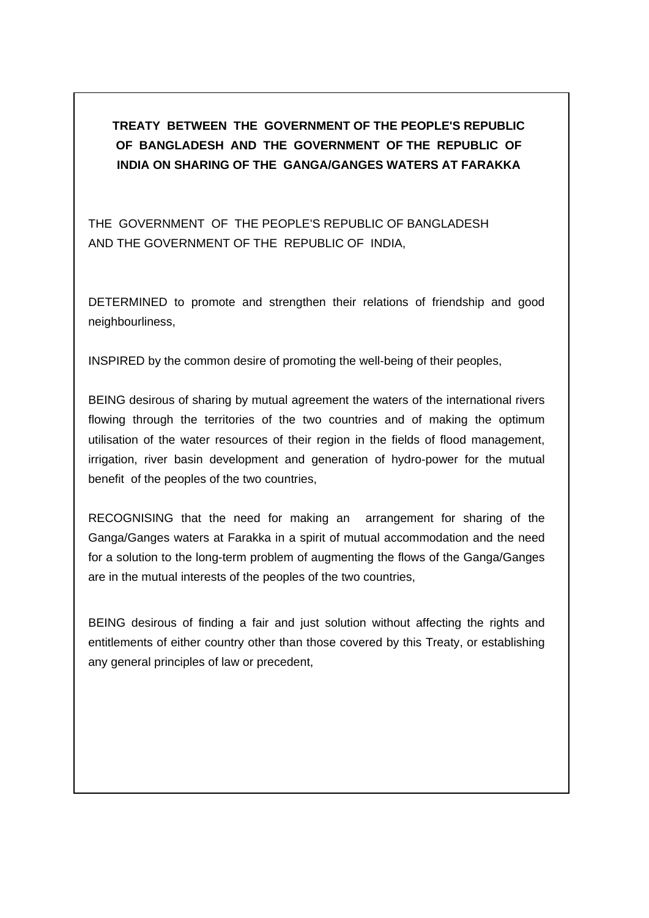**TREATY BETWEEN THE GOVERNMENT OF THE PEOPLE'S REPUBLIC OF BANGLADESH AND THE GOVERNMENT OF THE REPUBLIC OF INDIA ON SHARING OF THE GANGA/GANGES WATERS AT FARAKKA** 

THE GOVERNMENT OF THE PEOPLE'S REPUBLIC OF BANGLADESH AND THE GOVERNMENT OF THE REPUBLIC OF INDIA,

DETERMINED to promote and strengthen their relations of friendship and good neighbourliness,

INSPIRED by the common desire of promoting the well-being of their peoples,

BEING desirous of sharing by mutual agreement the waters of the international rivers flowing through the territories of the two countries and of making the optimum utilisation of the water resources of their region in the fields of flood management, irrigation, river basin development and generation of hydro-power for the mutual benefit of the peoples of the two countries,

RECOGNISING that the need for making an arrangement for sharing of the Ganga/Ganges waters at Farakka in a spirit of mutual accommodation and the need for a solution to the long-term problem of augmenting the flows of the Ganga/Ganges are in the mutual interests of the peoples of the two countries,

BEING desirous of finding a fair and just solution without affecting the rights and entitlements of either country other than those covered by this Treaty, or establishing any general principles of law or precedent,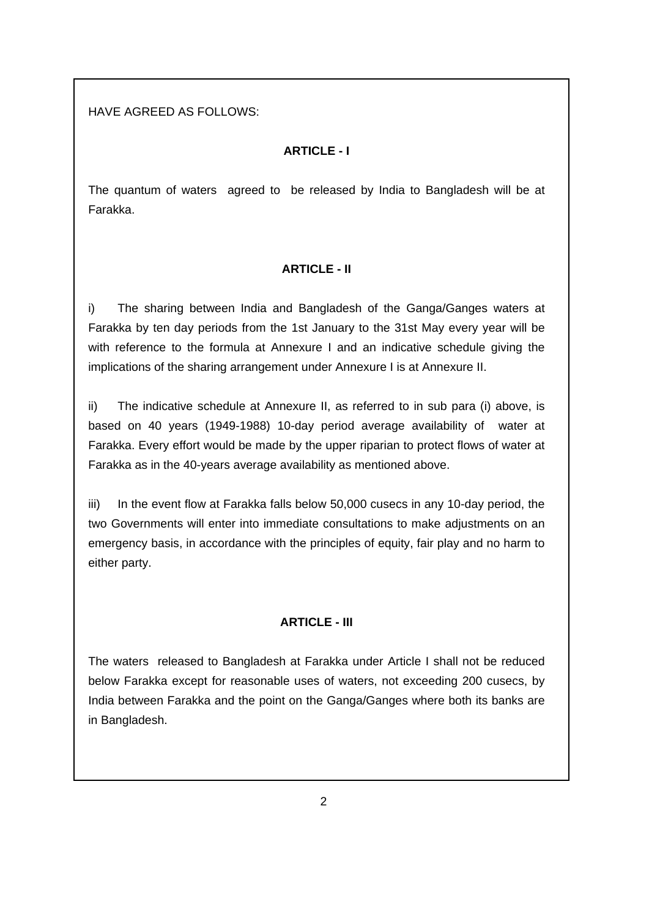# HAVE AGREED AS FOLLOWS:

### **ARTICLE - I**

The quantum of waters agreed to be released by India to Bangladesh will be at Farakka.

#### **ARTICLE - II**

i) The sharing between India and Bangladesh of the Ganga/Ganges waters at Farakka by ten day periods from the 1st January to the 31st May every year will be with reference to the formula at Annexure I and an indicative schedule giving the implications of the sharing arrangement under Annexure I is at Annexure II.

ii) The indicative schedule at Annexure II, as referred to in sub para (i) above, is based on 40 years (1949-1988) 10-day period average availability of water at Farakka. Every effort would be made by the upper riparian to protect flows of water at Farakka as in the 40-years average availability as mentioned above.

iii) In the event flow at Farakka falls below 50,000 cusecs in any 10-day period, the two Governments will enter into immediate consultations to make adjustments on an emergency basis, in accordance with the principles of equity, fair play and no harm to either party.

#### **ARTICLE - III**

The waters released to Bangladesh at Farakka under Article I shall not be reduced below Farakka except for reasonable uses of waters, not exceeding 200 cusecs, by India between Farakka and the point on the Ganga/Ganges where both its banks are in Bangladesh.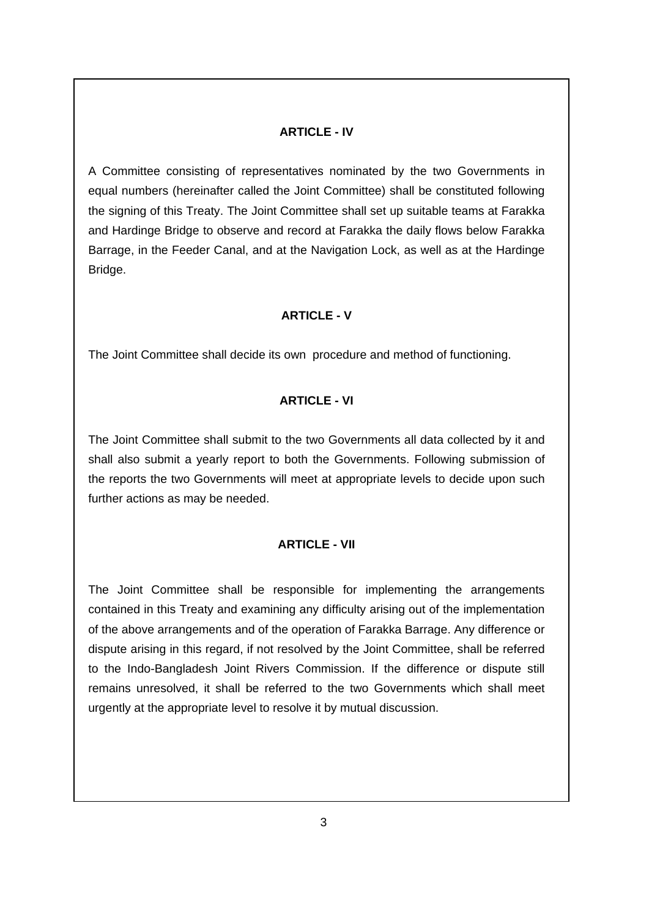#### **ARTICLE - IV**

A Committee consisting of representatives nominated by the two Governments in equal numbers (hereinafter called the Joint Committee) shall be constituted following the signing of this Treaty. The Joint Committee shall set up suitable teams at Farakka and Hardinge Bridge to observe and record at Farakka the daily flows below Farakka Barrage, in the Feeder Canal, and at the Navigation Lock, as well as at the Hardinge Bridge.

#### **ARTICLE - V**

The Joint Committee shall decide its own procedure and method of functioning.

### **ARTICLE - VI**

The Joint Committee shall submit to the two Governments all data collected by it and shall also submit a yearly report to both the Governments. Following submission of the reports the two Governments will meet at appropriate levels to decide upon such further actions as may be needed.

#### **ARTICLE - VII**

The Joint Committee shall be responsible for implementing the arrangements contained in this Treaty and examining any difficulty arising out of the implementation of the above arrangements and of the operation of Farakka Barrage. Any difference or dispute arising in this regard, if not resolved by the Joint Committee, shall be referred to the Indo-Bangladesh Joint Rivers Commission. If the difference or dispute still remains unresolved, it shall be referred to the two Governments which shall meet urgently at the appropriate level to resolve it by mutual discussion.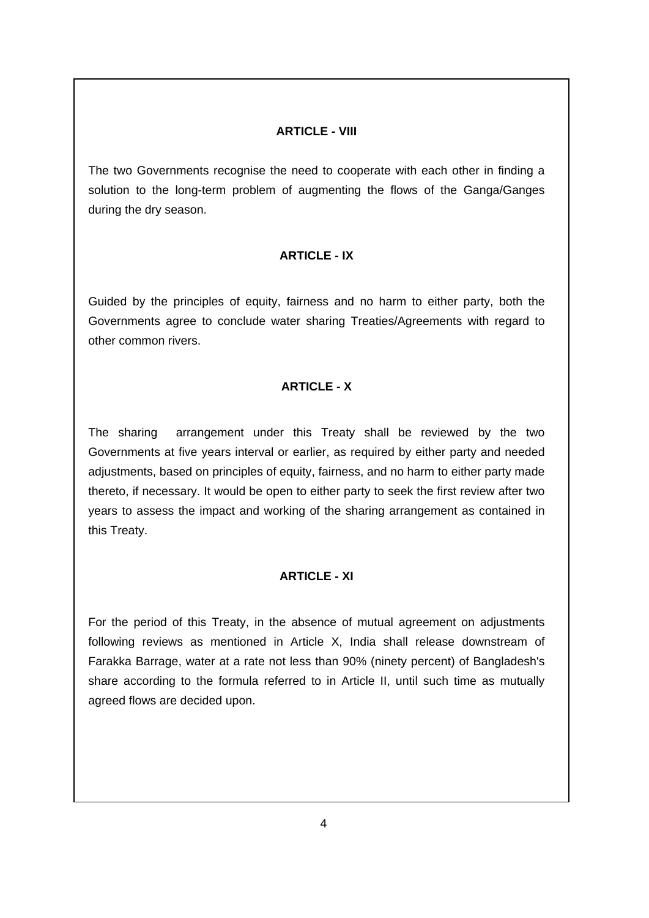### **ARTICLE - VIII**

The two Governments recognise the need to cooperate with each other in finding a solution to the long-term problem of augmenting the flows of the Ganga/Ganges during the dry season.

# **ARTICLE - IX**

Guided by the principles of equity, fairness and no harm to either party, both the Governments agree to conclude water sharing Treaties/Agreements with regard to other common rivers.

# **ARTICLE - X**

The sharing arrangement under this Treaty shall be reviewed by the two Governments at five years interval or earlier, as required by either party and needed adjustments, based on principles of equity, fairness, and no harm to either party made thereto, if necessary. It would be open to either party to seek the first review after two years to assess the impact and working of the sharing arrangement as contained in this Treaty.

# **ARTICLE - XI**

For the period of this Treaty, in the absence of mutual agreement on adjustments following reviews as mentioned in Article X, India shall release downstream of Farakka Barrage, water at a rate not less than 90% (ninety percent) of Bangladesh's share according to the formula referred to in Article II, until such time as mutually agreed flows are decided upon.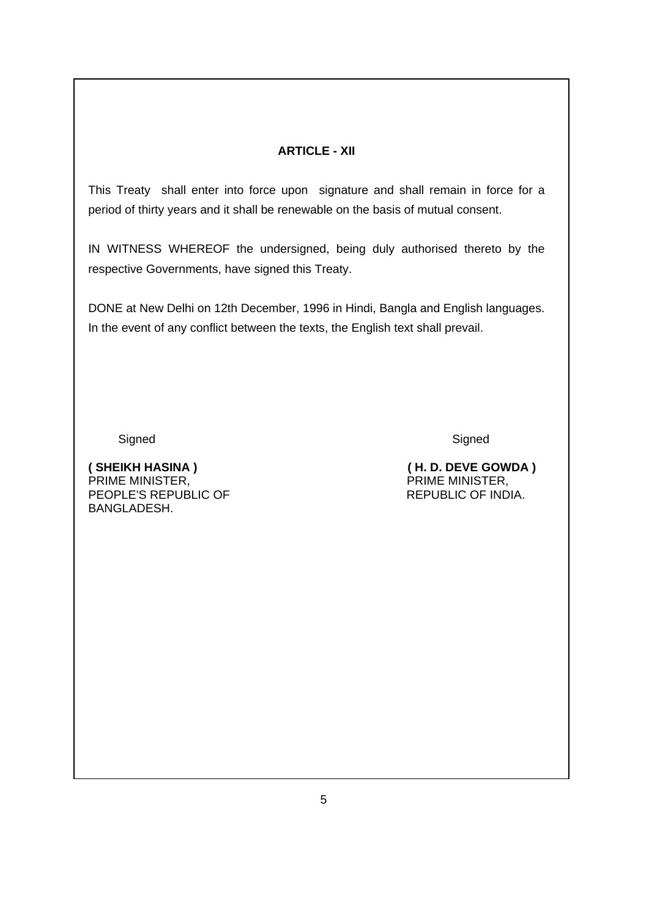### **ARTICLE - XII**

This Treaty shall enter into force upon signature and shall remain in force for a period of thirty years and it shall be renewable on the basis of mutual consent.

IN WITNESS WHEREOF the undersigned, being duly authorised thereto by the respective Governments, have signed this Treaty.

DONE at New Delhi on 12th December, 1996 in Hindi, Bangla and English languages. In the event of any conflict between the texts, the English text shall prevail.

Signed Signed Signed Signed Signed Signed Signed Signed Signed Signed Signed Signed Signed Signed Signed Signed Signed Signed Signed Signed Signed Signed Signed Signed Signed Signed Signed Signed Signed Signed Signed Signe

PRIME MINISTER,<br>PEOPLE'S REPUBLIC OF THE MINISTER, THEOPLE'S REPUBLIC OF PEOPLE'S REPUBLIC OF BANGLADESH.

**( SHEIKH HASINA ) ( H. D. DEVE GOWDA )**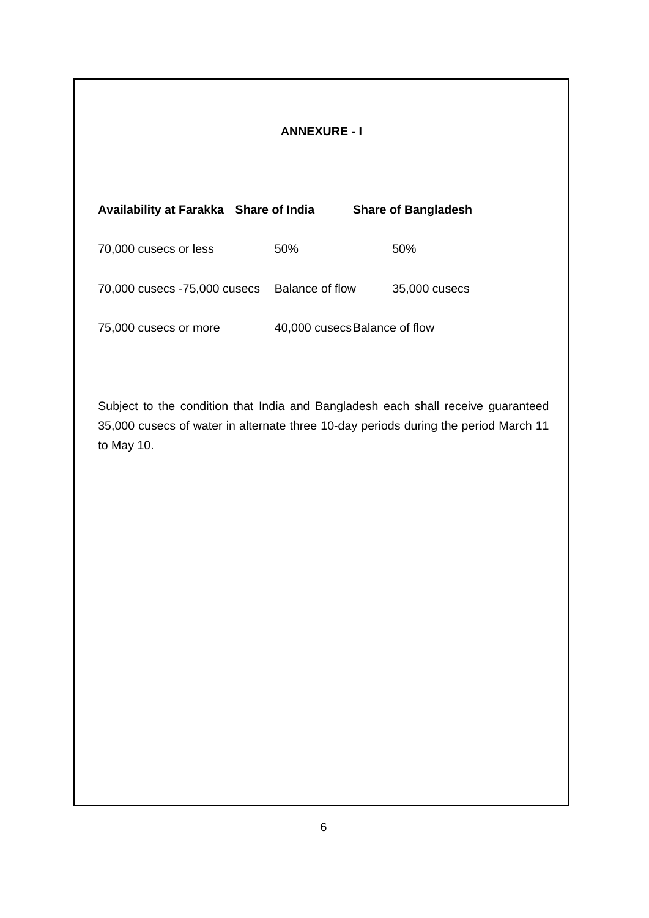# **ANNEXURE - I**

| Availability at Farakka Share of India |                               | <b>Share of Bangladesh</b> |
|----------------------------------------|-------------------------------|----------------------------|
| 70,000 cusecs or less                  | 50%                           | 50%                        |
| 70,000 cusecs -75,000 cusecs           | Balance of flow               | 35,000 cusecs              |
| 75,000 cusecs or more                  | 40,000 cusecs Balance of flow |                            |

Subject to the condition that India and Bangladesh each shall receive guaranteed 35,000 cusecs of water in alternate three 10-day periods during the period March 11 to May 10.